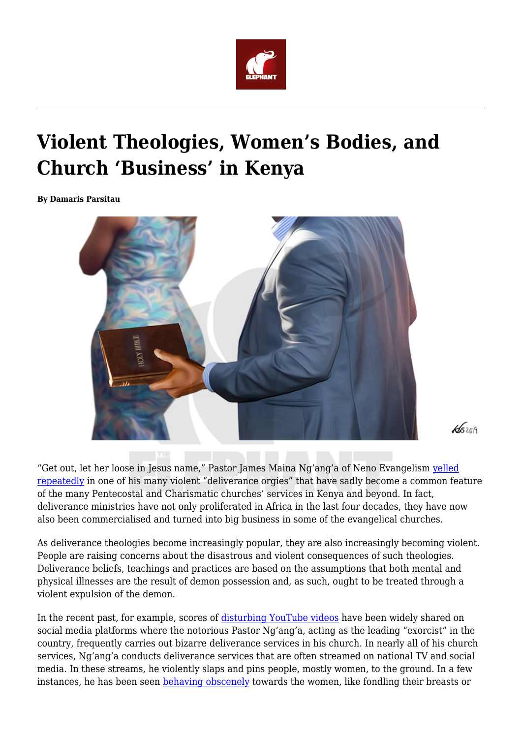

## **Violent Theologies, Women's Bodies, and Church 'Business' in Kenya**

**By Damaris Parsitau**



 $45209$ 

"Get out, let her loose in Jesus name," Pastor James Maina Ng'ang'a of Neno Evangelism [yelled](https://www.youtube.com/watch?v=UkdHlb6-dcA) [repeatedly](https://www.youtube.com/watch?v=UkdHlb6-dcA) in one of his many violent "deliverance orgies" that have sadly become a common feature of the many Pentecostal and Charismatic churches' services in Kenya and beyond. In fact, deliverance ministries have not only proliferated in Africa in the last four decades, they have now also been commercialised and turned into big business in some of the evangelical churches.

As deliverance theologies become increasingly popular, they are also increasingly becoming violent. People are raising concerns about the disastrous and violent consequences of such theologies. Deliverance beliefs, teachings and practices are based on the assumptions that both mental and physical illnesses are the result of demon possession and, as such, ought to be treated through a violent expulsion of the demon.

In the recent past, for example, scores of [disturbing YouTube videos](https://www.youtube.com/watch?v=UkdHlb6-dcA) have been widely shared on social media platforms where the notorious Pastor Ng'ang'a, acting as the leading "exorcist" in the country, frequently carries out bizarre deliverance services in his church. In nearly all of his church services, Ng'ang'a conducts deliverance services that are often streamed on national TV and social media. In these streams, he violently slaps and pins people, mostly women, to the ground. In a few instances, he has been seen **behaving obscenely** towards the women, like fondling their breasts or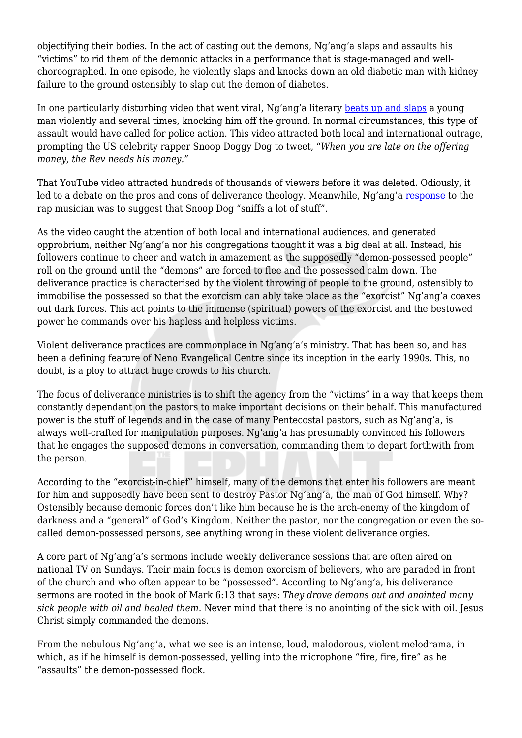objectifying their bodies. In the act of casting out the demons, Ng'ang'a slaps and assaults his "victims" to rid them of the demonic attacks in a performance that is stage-managed and wellchoreographed. In one episode, he violently slaps and knocks down an old diabetic man with kidney failure to the ground ostensibly to slap out the demon of diabetes.

In one particularly disturbing video that went viral, Ng'ang'a literary [beats up and slaps](https://www.youtube.com/watch?v=Gi-7LO8WF2I) a young man violently and several times, knocking him off the ground. In normal circumstances, this type of assault would have called for police action. This video attracted both local and international outrage, prompting the US celebrity rapper Snoop Doggy Dog to tweet, "*When you are late on the offering money, the Rev needs his money."*

That YouTube video attracted hundreds of thousands of viewers before it was deleted. Odiously, it led to a debate on the pros and cons of deliverance theology. Meanwhile, Ng'ang'a [response](https://nairobinews.nation.co.ke/videos/pastor-nganga-claps-back-at-snoop-dogg-over-exorcism-clip) to the rap musician was to suggest that Snoop Dog "sniffs a lot of stuff".

As the video caught the attention of both local and international audiences, and generated opprobrium, neither Ng'ang'a nor his congregations thought it was a big deal at all. Instead, his followers continue to cheer and watch in amazement as the supposedly "demon-possessed people" roll on the ground until the "demons" are forced to flee and the possessed calm down. The deliverance practice is characterised by the violent throwing of people to the ground, ostensibly to immobilise the possessed so that the exorcism can ably take place as the "exorcist" Ng'ang'a coaxes out dark forces. This act points to the immense (spiritual) powers of the exorcist and the bestowed power he commands over his hapless and helpless victims.

Violent deliverance practices are commonplace in Ng'ang'a's ministry. That has been so, and has been a defining feature of Neno Evangelical Centre since its inception in the early 1990s. This, no doubt, is a ploy to attract huge crowds to his church.

The focus of deliverance ministries is to shift the agency from the "victims" in a way that keeps them constantly dependant on the pastors to make important decisions on their behalf. This manufactured power is the stuff of legends and in the case of many Pentecostal pastors, such as Ng'ang'a, is always well-crafted for manipulation purposes. Ng'ang'a has presumably convinced his followers that he engages the supposed demons in conversation, commanding them to depart forthwith from the person.

According to the "exorcist-in-chief" himself, many of the demons that enter his followers are meant for him and supposedly have been sent to destroy Pastor Ng'ang'a, the man of God himself. Why? Ostensibly because demonic forces don't like him because he is the arch-enemy of the kingdom of darkness and a "general" of God's Kingdom. Neither the pastor, nor the congregation or even the socalled demon-possessed persons, see anything wrong in these violent deliverance orgies.

A core part of Ng'ang'a's sermons include weekly deliverance sessions that are often aired on national TV on Sundays. Their main focus is demon exorcism of believers, who are paraded in front of the church and who often appear to be "possessed". According to Ng'ang'a, his deliverance sermons are rooted in the book of Mark 6:13 that says: *They drove demons out and anointed many sick people with oil and healed them*. Never mind that there is no anointing of the sick with oil. Jesus Christ simply commanded the demons.

From the nebulous Ng'ang'a, what we see is an intense, loud, malodorous, violent melodrama, in which, as if he himself is demon-possessed, yelling into the microphone "fire, fire, fire" as he "assaults" the demon-possessed flock.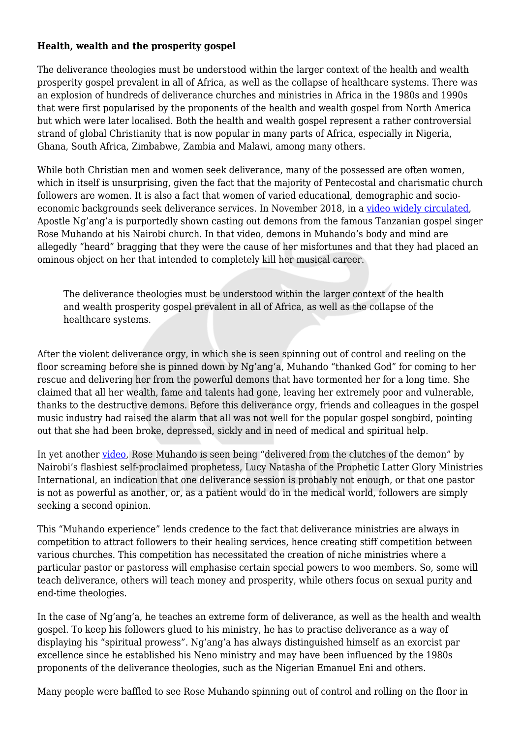## **Health, wealth and the prosperity gospel**

The deliverance theologies must be understood within the larger context of the health and wealth prosperity gospel prevalent in all of Africa, as well as the collapse of healthcare systems. There was an explosion of hundreds of deliverance churches and ministries in Africa in the 1980s and 1990s that were first popularised by the proponents of the health and wealth gospel from North America but which were later localised. Both the health and wealth gospel represent a rather controversial strand of global Christianity that is now popular in many parts of Africa, especially in Nigeria, Ghana, South Africa, Zimbabwe, Zambia and Malawi, among many others.

While both Christian men and women seek deliverance, many of the possessed are often women, which in itself is unsurprising, given the fact that the majority of Pentecostal and charismatic church followers are women. It is also a fact that women of varied educational, demographic and socioeconomic backgrounds seek deliverance services. In November 2018, in a [video widely circulated,](https://www.youtube.com/watch?v=bTC9D9p5f0c) Apostle Ng'ang'a is purportedly shown casting out demons from the famous Tanzanian gospel singer Rose Muhando at his Nairobi church. In that video, demons in Muhando's body and mind are allegedly "heard" bragging that they were the cause of her misfortunes and that they had placed an ominous object on her that intended to completely kill her musical career.

The deliverance theologies must be understood within the larger context of the health and wealth prosperity gospel prevalent in all of Africa, as well as the collapse of the healthcare systems.

After the violent deliverance orgy, in which she is seen spinning out of control and reeling on the floor screaming before she is pinned down by Ng'ang'a, Muhando "thanked God" for coming to her rescue and delivering her from the powerful demons that have tormented her for a long time. She claimed that all her wealth, fame and talents had gone, leaving her extremely poor and vulnerable, thanks to the destructive demons. Before this deliverance orgy, friends and colleagues in the gospel music industry had raised the alarm that all was not well for the popular gospel songbird, pointing out that she had been broke, depressed, sickly and in need of medical and spiritual help.

In yet another [video,](https://www.youtube.com/watch?v=M1rlJ1CSsvI) Rose Muhando is seen being "delivered from the clutches of the demon" by Nairobi's flashiest self-proclaimed prophetess, Lucy Natasha of the Prophetic Latter Glory Ministries International, an indication that one deliverance session is probably not enough, or that one pastor is not as powerful as another, or, as a patient would do in the medical world, followers are simply seeking a second opinion.

This "Muhando experience" lends credence to the fact that deliverance ministries are always in competition to attract followers to their healing services, hence creating stiff competition between various churches. This competition has necessitated the creation of niche ministries where a particular pastor or pastoress will emphasise certain special powers to woo members. So, some will teach deliverance, others will teach money and prosperity, while others focus on sexual purity and end-time theologies.

In the case of Ng'ang'a, he teaches an extreme form of deliverance, as well as the health and wealth gospel. To keep his followers glued to his ministry, he has to practise deliverance as a way of displaying his "spiritual prowess". Ng'ang'a has always distinguished himself as an exorcist par excellence since he established his Neno ministry and may have been influenced by the 1980s proponents of the deliverance theologies, such as the Nigerian Emanuel Eni and others.

Many people were baffled to see Rose Muhando spinning out of control and rolling on the floor in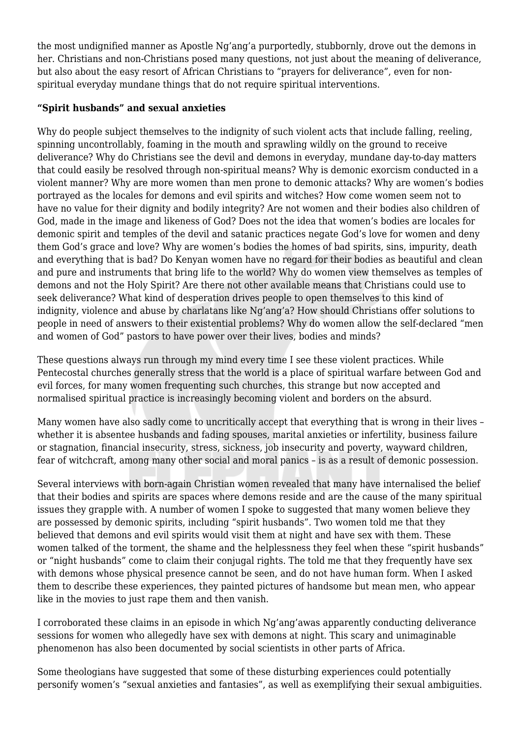the most undignified manner as Apostle Ng'ang'a purportedly, stubbornly, drove out the demons in her. Christians and non-Christians posed many questions, not just about the meaning of deliverance, but also about the easy resort of African Christians to "prayers for deliverance", even for nonspiritual everyday mundane things that do not require spiritual interventions.

## **"Spirit husbands" and sexual anxieties**

Why do people subject themselves to the indignity of such violent acts that include falling, reeling, spinning uncontrollably, foaming in the mouth and sprawling wildly on the ground to receive deliverance? Why do Christians see the devil and demons in everyday, mundane day-to-day matters that could easily be resolved through non-spiritual means? Why is demonic exorcism conducted in a violent manner? Why are more women than men prone to demonic attacks? Why are women's bodies portrayed as the locales for demons and evil spirits and witches? How come women seem not to have no value for their dignity and bodily integrity? Are not women and their bodies also children of God, made in the image and likeness of God? Does not the idea that women's bodies are locales for demonic spirit and temples of the devil and satanic practices negate God's love for women and deny them God's grace and love? Why are women's bodies the homes of bad spirits, sins, impurity, death and everything that is bad? Do Kenyan women have no regard for their bodies as beautiful and clean and pure and instruments that bring life to the world? Why do women view themselves as temples of demons and not the Holy Spirit? Are there not other available means that Christians could use to seek deliverance? What kind of desperation drives people to open themselves to this kind of indignity, violence and abuse by charlatans like Ng'ang'a? How should Christians offer solutions to people in need of answers to their existential problems? Why do women allow the self-declared "men and women of God" pastors to have power over their lives, bodies and minds?

These questions always run through my mind every time I see these violent practices. While Pentecostal churches generally stress that the world is a place of spiritual warfare between God and evil forces, for many women frequenting such churches, this strange but now accepted and normalised spiritual practice is increasingly becoming violent and borders on the absurd.

Many women have also sadly come to uncritically accept that everything that is wrong in their lives – whether it is absentee husbands and fading spouses, marital anxieties or infertility, business failure or stagnation, financial insecurity, stress, sickness, job insecurity and poverty, wayward children, fear of witchcraft, among many other social and moral panics – is as a result of demonic possession.

Several interviews with born-again Christian women revealed that many have internalised the belief that their bodies and spirits are spaces where demons reside and are the cause of the many spiritual issues they grapple with. A number of women I spoke to suggested that many women believe they are possessed by demonic spirits, including "spirit husbands". Two women told me that they believed that demons and evil spirits would visit them at night and have sex with them. These women talked of the torment, the shame and the helplessness they feel when these "spirit husbands" or "night husbands" come to claim their conjugal rights. The told me that they frequently have sex with demons whose physical presence cannot be seen, and do not have human form. When I asked them to describe these experiences, they painted pictures of handsome but mean men, who appear like in the movies to just rape them and then vanish.

I corroborated these claims in an episode in which Ng'ang'awas apparently conducting deliverance sessions for women who allegedly have sex with demons at night. This scary and unimaginable phenomenon has also been documented by social scientists in other parts of Africa.

Some theologians have suggested that some of these disturbing experiences could potentially personify women's "sexual anxieties and fantasies", as well as exemplifying their sexual ambiguities.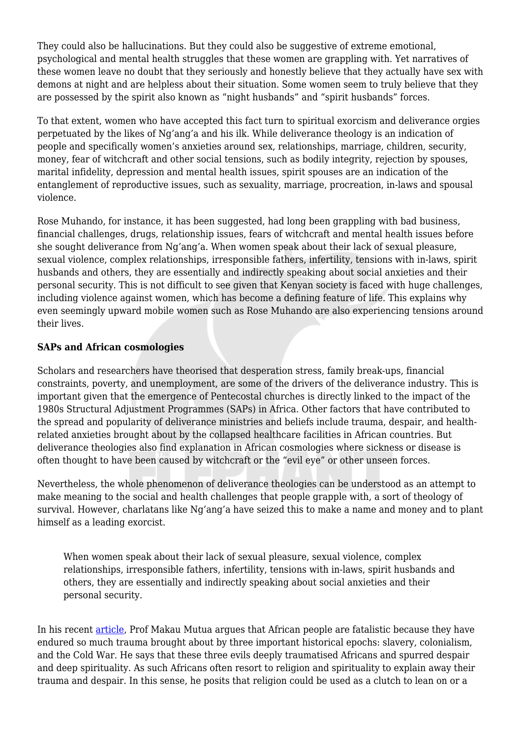They could also be hallucinations. But they could also be suggestive of extreme emotional, psychological and mental health struggles that these women are grappling with. Yet narratives of these women leave no doubt that they seriously and honestly believe that they actually have sex with demons at night and are helpless about their situation. Some women seem to truly believe that they are possessed by the spirit also known as "night husbands" and "spirit husbands" forces.

To that extent, women who have accepted this fact turn to spiritual exorcism and deliverance orgies perpetuated by the likes of Ng'ang'a and his ilk. While deliverance theology is an indication of people and specifically women's anxieties around sex, relationships, marriage, children, security, money, fear of witchcraft and other social tensions, such as bodily integrity, rejection by spouses, marital infidelity, depression and mental health issues, spirit spouses are an indication of the entanglement of reproductive issues, such as sexuality, marriage, procreation, in-laws and spousal violence.

Rose Muhando, for instance, it has been suggested, had long been grappling with bad business, financial challenges, drugs, relationship issues, fears of witchcraft and mental health issues before she sought deliverance from Ng'ang'a. When women speak about their lack of sexual pleasure, sexual violence, complex relationships, irresponsible fathers, infertility, tensions with in-laws, spirit husbands and others, they are essentially and indirectly speaking about social anxieties and their personal security. This is not difficult to see given that Kenyan society is faced with huge challenges, including violence against women, which has become a defining feature of life. This explains why even seemingly upward mobile women such as Rose Muhando are also experiencing tensions around their lives.

## **SAPs and African cosmologies**

Scholars and researchers have theorised that desperation stress, family break-ups, financial constraints, poverty, and unemployment, are some of the drivers of the deliverance industry. This is important given that the emergence of Pentecostal churches is directly linked to the impact of the 1980s Structural Adjustment Programmes (SAPs) in Africa. Other factors that have contributed to the spread and popularity of deliverance ministries and beliefs include trauma, despair, and healthrelated anxieties brought about by the collapsed healthcare facilities in African countries. But deliverance theologies also find explanation in African cosmologies where sickness or disease is often thought to have been caused by witchcraft or the "evil eye" or other unseen forces.

Nevertheless, the whole phenomenon of deliverance theologies can be understood as an attempt to make meaning to the social and health challenges that people grapple with, a sort of theology of survival. However, charlatans like Ng'ang'a have seized this to make a name and money and to plant himself as a leading exorcist.

When women speak about their lack of sexual pleasure, sexual violence, complex relationships, irresponsible fathers, infertility, tensions with in-laws, spirit husbands and others, they are essentially and indirectly speaking about social anxieties and their personal security.

In his recent [article,](https://www.nation.co.ke/oped/opinion/Of-God-and-African-fatalism--Let-s-interrogate-all-our-beliefs/440808-5300322-p5mxkkz/index.html) Prof Makau Mutua argues that African people are fatalistic because they have endured so much trauma brought about by three important historical epochs: slavery, colonialism, and the Cold War. He says that these three evils deeply traumatised Africans and spurred despair and deep spirituality. As such Africans often resort to religion and spirituality to explain away their trauma and despair. In this sense, he posits that religion could be used as a clutch to lean on or a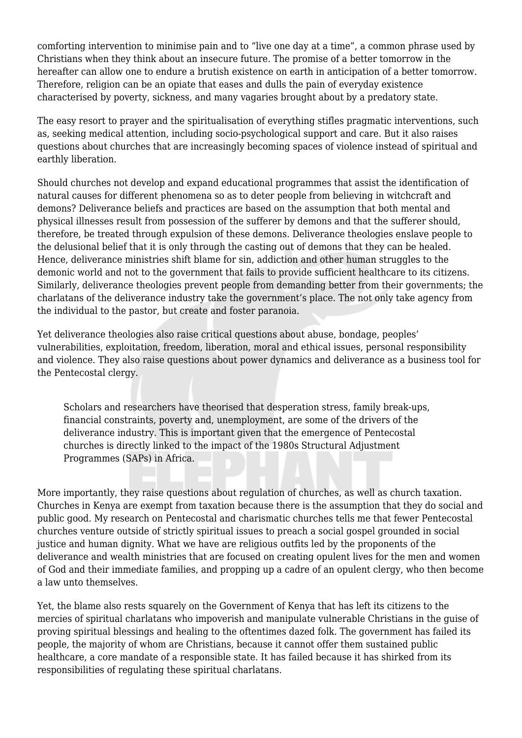comforting intervention to minimise pain and to "live one day at a time", a common phrase used by Christians when they think about an insecure future. The promise of a better tomorrow in the hereafter can allow one to endure a brutish existence on earth in anticipation of a better tomorrow. Therefore, religion can be an opiate that eases and dulls the pain of everyday existence characterised by poverty, sickness, and many vagaries brought about by a predatory state.

The easy resort to prayer and the spiritualisation of everything stifles pragmatic interventions, such as, seeking medical attention, including socio-psychological support and care. But it also raises questions about churches that are increasingly becoming spaces of violence instead of spiritual and earthly liberation.

Should churches not develop and expand educational programmes that assist the identification of natural causes for different phenomena so as to deter people from believing in witchcraft and demons? Deliverance beliefs and practices are based on the assumption that both mental and physical illnesses result from possession of the sufferer by demons and that the sufferer should, therefore, be treated through expulsion of these demons. Deliverance theologies enslave people to the delusional belief that it is only through the casting out of demons that they can be healed. Hence, deliverance ministries shift blame for sin, addiction and other human struggles to the demonic world and not to the government that fails to provide sufficient healthcare to its citizens. Similarly, deliverance theologies prevent people from demanding better from their governments; the charlatans of the deliverance industry take the government's place. The not only take agency from the individual to the pastor, but create and foster paranoia.

Yet deliverance theologies also raise critical questions about abuse, bondage, peoples' vulnerabilities, exploitation, freedom, liberation, moral and ethical issues, personal responsibility and violence. They also raise questions about power dynamics and deliverance as a business tool for the Pentecostal clergy.

Scholars and researchers have theorised that desperation stress, family break-ups, financial constraints, poverty and, unemployment, are some of the drivers of the deliverance industry. This is important given that the emergence of Pentecostal churches is directly linked to the impact of the 1980s Structural Adjustment Programmes (SAPs) in Africa.

More importantly, they raise questions about regulation of churches, as well as church taxation. Churches in Kenya are exempt from taxation because there is the assumption that they do social and public good. My research on Pentecostal and charismatic churches tells me that fewer Pentecostal churches venture outside of strictly spiritual issues to preach a social gospel grounded in social justice and human dignity. What we have are religious outfits led by the proponents of the deliverance and wealth ministries that are focused on creating opulent lives for the men and women of God and their immediate families, and propping up a cadre of an opulent clergy, who then become a law unto themselves.

Yet, the blame also rests squarely on the Government of Kenya that has left its citizens to the mercies of spiritual charlatans who impoverish and manipulate vulnerable Christians in the guise of proving spiritual blessings and healing to the oftentimes dazed folk. The government has failed its people, the majority of whom are Christians, because it cannot offer them sustained public healthcare, a core mandate of a responsible state. It has failed because it has shirked from its responsibilities of regulating these spiritual charlatans.